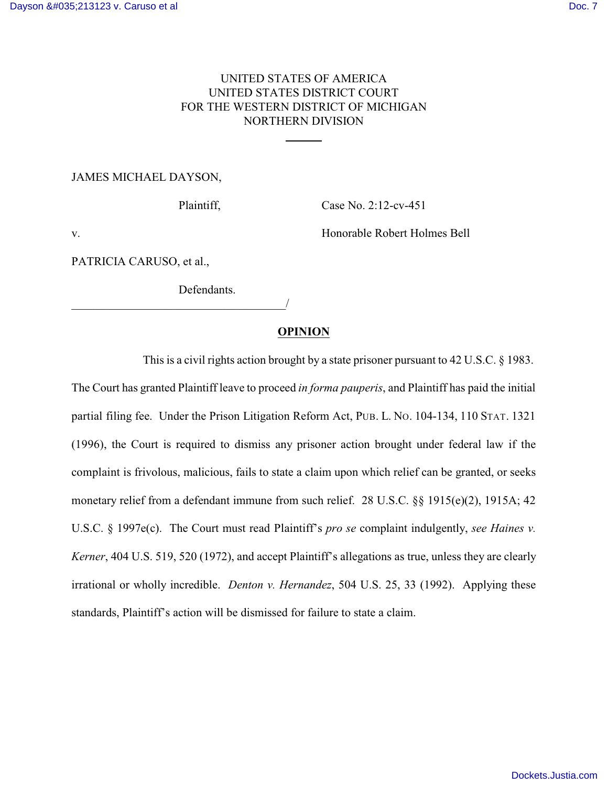# UNITED STATES OF AMERICA UNITED STATES DISTRICT COURT FOR THE WESTERN DISTRICT OF MICHIGAN NORTHERN DIVISION

l

JAMES MICHAEL DAYSON,

Plaintiff, Case No. 2:12-cv-451

v. Honorable Robert Holmes Bell

PATRICIA CARUSO, et al.,

Defendants.

\_\_\_\_\_\_\_\_\_\_\_\_\_\_\_\_\_\_\_\_\_\_\_\_\_\_\_\_\_\_\_\_\_\_\_\_/

## **OPINION**

This is a civil rights action brought by a state prisoner pursuant to 42 U.S.C. § 1983.

The Court has granted Plaintiff leave to proceed *in forma pauperis*, and Plaintiff has paid the initial partial filing fee. Under the Prison Litigation Reform Act, PUB. L. NO. 104-134, 110 STAT. 1321 (1996), the Court is required to dismiss any prisoner action brought under federal law if the complaint is frivolous, malicious, fails to state a claim upon which relief can be granted, or seeks monetary relief from a defendant immune from such relief. 28 U.S.C. §§ 1915(e)(2), 1915A; 42 U.S.C. § 1997e(c). The Court must read Plaintiff's *pro se* complaint indulgently, *see Haines v. Kerner*, 404 U.S. 519, 520 (1972), and accept Plaintiff's allegations as true, unless they are clearly irrational or wholly incredible. *Denton v. Hernandez*, 504 U.S. 25, 33 (1992). Applying these standards, Plaintiff's action will be dismissed for failure to state a claim.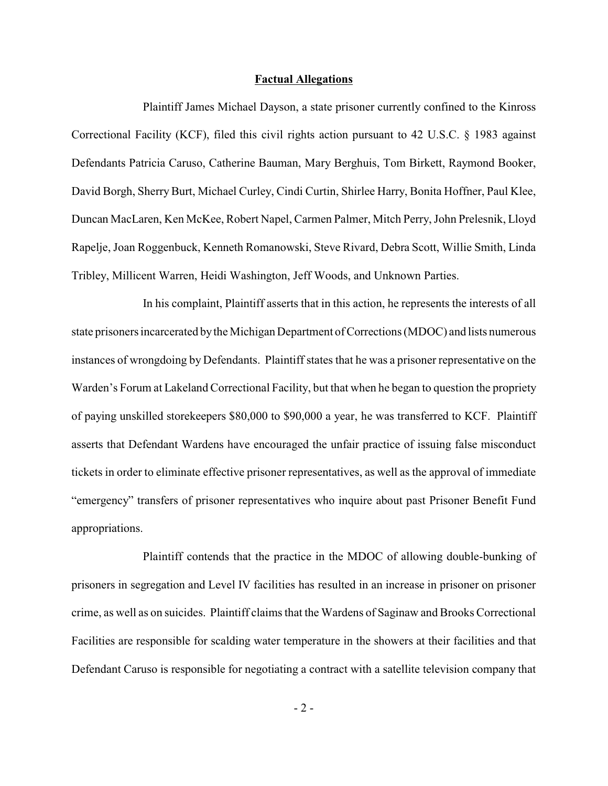#### **Factual Allegations**

Plaintiff James Michael Dayson, a state prisoner currently confined to the Kinross Correctional Facility (KCF), filed this civil rights action pursuant to 42 U.S.C. § 1983 against Defendants Patricia Caruso, Catherine Bauman, Mary Berghuis, Tom Birkett, Raymond Booker, David Borgh, Sherry Burt, Michael Curley, Cindi Curtin, Shirlee Harry, Bonita Hoffner, Paul Klee, Duncan MacLaren, Ken McKee, Robert Napel, Carmen Palmer, Mitch Perry, John Prelesnik, Lloyd Rapelje, Joan Roggenbuck, Kenneth Romanowski, Steve Rivard, Debra Scott, Willie Smith, Linda Tribley, Millicent Warren, Heidi Washington, Jeff Woods, and Unknown Parties.

In his complaint, Plaintiff asserts that in this action, he represents the interests of all state prisoners incarcerated bythe Michigan Department of Corrections (MDOC) and lists numerous instances of wrongdoing by Defendants. Plaintiff states that he was a prisoner representative on the Warden's Forum at Lakeland Correctional Facility, but that when he began to question the propriety of paying unskilled storekeepers \$80,000 to \$90,000 a year, he was transferred to KCF. Plaintiff asserts that Defendant Wardens have encouraged the unfair practice of issuing false misconduct tickets in order to eliminate effective prisoner representatives, as well as the approval of immediate "emergency" transfers of prisoner representatives who inquire about past Prisoner Benefit Fund appropriations.

Plaintiff contends that the practice in the MDOC of allowing double-bunking of prisoners in segregation and Level IV facilities has resulted in an increase in prisoner on prisoner crime, as well as on suicides. Plaintiff claims that the Wardens of Saginaw and Brooks Correctional Facilities are responsible for scalding water temperature in the showers at their facilities and that Defendant Caruso is responsible for negotiating a contract with a satellite television company that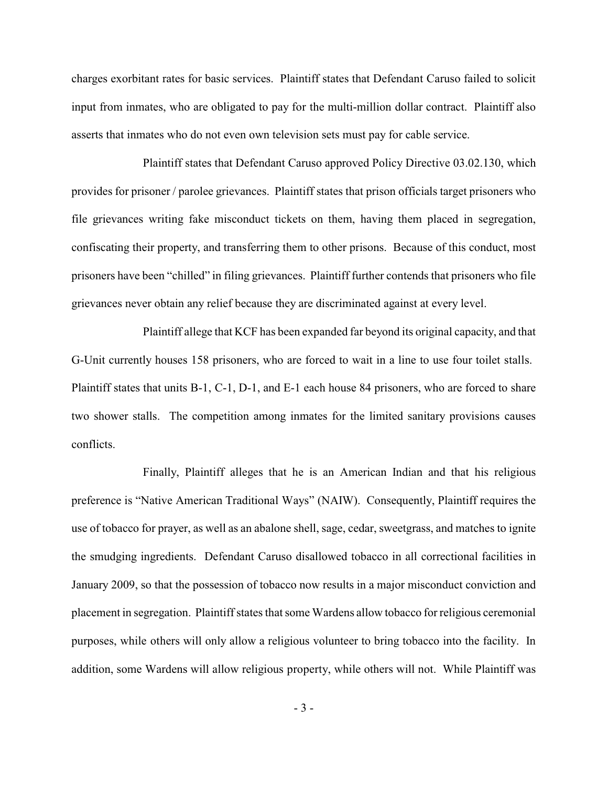charges exorbitant rates for basic services. Plaintiff states that Defendant Caruso failed to solicit input from inmates, who are obligated to pay for the multi-million dollar contract. Plaintiff also asserts that inmates who do not even own television sets must pay for cable service.

Plaintiff states that Defendant Caruso approved Policy Directive 03.02.130, which provides for prisoner / parolee grievances. Plaintiff states that prison officials target prisoners who file grievances writing fake misconduct tickets on them, having them placed in segregation, confiscating their property, and transferring them to other prisons. Because of this conduct, most prisoners have been "chilled" in filing grievances. Plaintiff further contends that prisoners who file grievances never obtain any relief because they are discriminated against at every level.

Plaintiff allege that KCF has been expanded far beyond its original capacity, and that G-Unit currently houses 158 prisoners, who are forced to wait in a line to use four toilet stalls. Plaintiff states that units B-1, C-1, D-1, and E-1 each house 84 prisoners, who are forced to share two shower stalls. The competition among inmates for the limited sanitary provisions causes conflicts.

Finally, Plaintiff alleges that he is an American Indian and that his religious preference is "Native American Traditional Ways" (NAIW). Consequently, Plaintiff requires the use of tobacco for prayer, as well as an abalone shell, sage, cedar, sweetgrass, and matches to ignite the smudging ingredients. Defendant Caruso disallowed tobacco in all correctional facilities in January 2009, so that the possession of tobacco now results in a major misconduct conviction and placement in segregation. Plaintiff states that some Wardens allow tobacco for religious ceremonial purposes, while others will only allow a religious volunteer to bring tobacco into the facility. In addition, some Wardens will allow religious property, while others will not. While Plaintiff was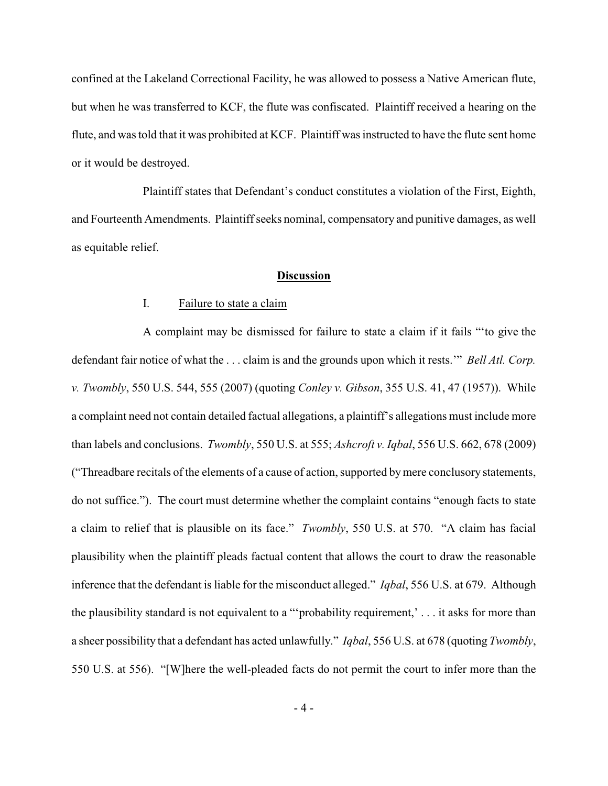confined at the Lakeland Correctional Facility, he was allowed to possess a Native American flute, but when he was transferred to KCF, the flute was confiscated. Plaintiff received a hearing on the flute, and was told that it was prohibited at KCF. Plaintiff was instructed to have the flute sent home or it would be destroyed.

Plaintiff states that Defendant's conduct constitutes a violation of the First, Eighth, and Fourteenth Amendments. Plaintiff seeks nominal, compensatory and punitive damages, as well as equitable relief.

### **Discussion**

### I. Failure to state a claim

A complaint may be dismissed for failure to state a claim if it fails "'to give the defendant fair notice of what the . . . claim is and the grounds upon which it rests.'" *Bell Atl. Corp. v. Twombly*, 550 U.S. 544, 555 (2007) (quoting *Conley v. Gibson*, 355 U.S. 41, 47 (1957)). While a complaint need not contain detailed factual allegations, a plaintiff's allegations must include more than labels and conclusions. *Twombly*, 550 U.S. at 555; *Ashcroft v. Iqbal*, 556 U.S. 662, 678 (2009) ("Threadbare recitals of the elements of a cause of action, supported bymere conclusory statements, do not suffice."). The court must determine whether the complaint contains "enough facts to state a claim to relief that is plausible on its face." *Twombly*, 550 U.S. at 570. "A claim has facial plausibility when the plaintiff pleads factual content that allows the court to draw the reasonable inference that the defendant is liable for the misconduct alleged." *Iqbal*, 556 U.S. at 679. Although the plausibility standard is not equivalent to a "'probability requirement,' . . . it asks for more than a sheer possibility that a defendant has acted unlawfully." *Iqbal*, 556 U.S. at 678 (quoting *Twombly*, 550 U.S. at 556). "[W]here the well-pleaded facts do not permit the court to infer more than the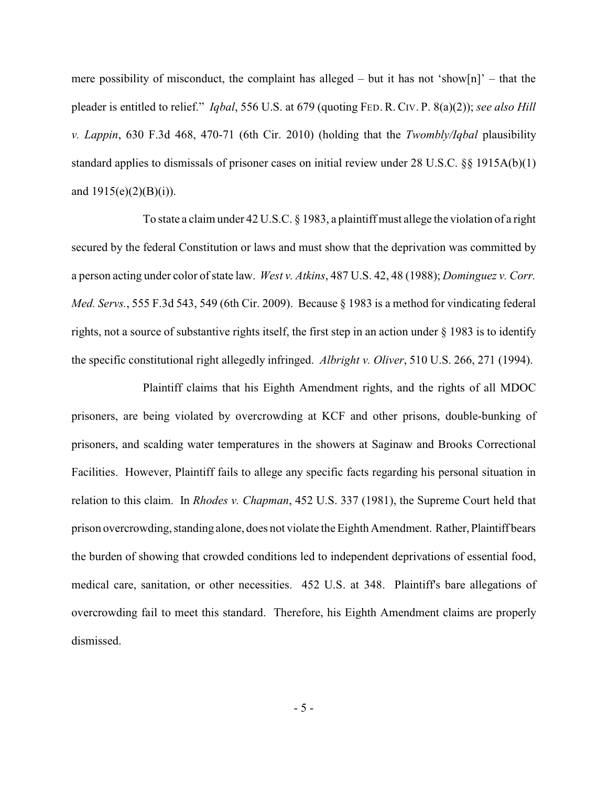mere possibility of misconduct, the complaint has alleged – but it has not 'show[n]' – that the pleader is entitled to relief." *Iqbal*, 556 U.S. at 679 (quoting FED. R. CIV. P. 8(a)(2)); *see also Hill v. Lappin*, 630 F.3d 468, 470-71 (6th Cir. 2010) (holding that the *Twombly/Iqbal* plausibility standard applies to dismissals of prisoner cases on initial review under 28 U.S.C. §§ 1915A(b)(1) and  $1915(e)(2)(B)(i)$ ).

To state a claim under 42 U.S.C. § 1983, a plaintiff must allege the violation of a right secured by the federal Constitution or laws and must show that the deprivation was committed by a person acting under color of state law. *West v. Atkins*, 487 U.S. 42, 48 (1988); *Dominguez v. Corr. Med. Servs.*, 555 F.3d 543, 549 (6th Cir. 2009). Because § 1983 is a method for vindicating federal rights, not a source of substantive rights itself, the first step in an action under § 1983 is to identify the specific constitutional right allegedly infringed. *Albright v. Oliver*, 510 U.S. 266, 271 (1994).

Plaintiff claims that his Eighth Amendment rights, and the rights of all MDOC prisoners, are being violated by overcrowding at KCF and other prisons, double-bunking of prisoners, and scalding water temperatures in the showers at Saginaw and Brooks Correctional Facilities. However, Plaintiff fails to allege any specific facts regarding his personal situation in relation to this claim. In *Rhodes v. Chapman*, 452 U.S. 337 (1981), the Supreme Court held that prison overcrowding, standing alone, does not violate the Eighth Amendment. Rather, Plaintiff bears the burden of showing that crowded conditions led to independent deprivations of essential food, medical care, sanitation, or other necessities. 452 U.S. at 348. Plaintiff's bare allegations of overcrowding fail to meet this standard. Therefore, his Eighth Amendment claims are properly dismissed.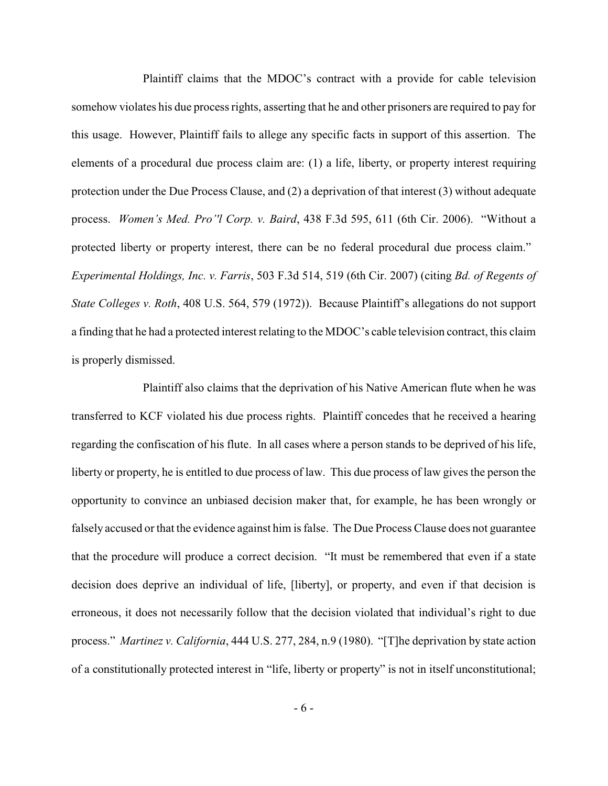Plaintiff claims that the MDOC's contract with a provide for cable television somehow violates his due process rights, asserting that he and other prisoners are required to pay for this usage. However, Plaintiff fails to allege any specific facts in support of this assertion. The elements of a procedural due process claim are: (1) a life, liberty, or property interest requiring protection under the Due Process Clause, and (2) a deprivation of that interest (3) without adequate process. *Women's Med. Pro''l Corp. v. Baird*, 438 F.3d 595, 611 (6th Cir. 2006). "Without a protected liberty or property interest, there can be no federal procedural due process claim." *Experimental Holdings, Inc. v. Farris*, 503 F.3d 514, 519 (6th Cir. 2007) (citing *Bd. of Regents of State Colleges v. Roth*, 408 U.S. 564, 579 (1972)). Because Plaintiff's allegations do not support a finding that he had a protected interest relating to the MDOC's cable television contract, this claim is properly dismissed.

Plaintiff also claims that the deprivation of his Native American flute when he was transferred to KCF violated his due process rights. Plaintiff concedes that he received a hearing regarding the confiscation of his flute. In all cases where a person stands to be deprived of his life, liberty or property, he is entitled to due process of law. This due process of law gives the person the opportunity to convince an unbiased decision maker that, for example, he has been wrongly or falsely accused or that the evidence against him is false. The Due Process Clause does not guarantee that the procedure will produce a correct decision. "It must be remembered that even if a state decision does deprive an individual of life, [liberty], or property, and even if that decision is erroneous, it does not necessarily follow that the decision violated that individual's right to due process." *Martinez v. California*, 444 U.S. 277, 284, n.9 (1980). "[T]he deprivation by state action of a constitutionally protected interest in "life, liberty or property" is not in itself unconstitutional;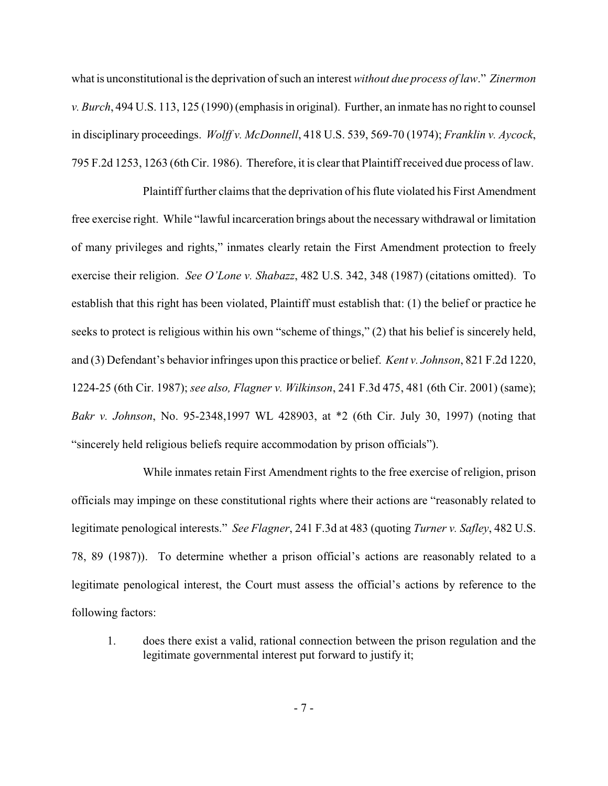what is unconstitutional is the deprivation of such an interest *without due process of law*." *Zinermon v. Burch*, 494 U.S. 113, 125 (1990) (emphasis in original). Further, an inmate has no right to counsel in disciplinary proceedings. *Wolff v. McDonnell*, 418 U.S. 539, 569-70 (1974); *Franklin v. Aycock*, 795 F.2d 1253, 1263 (6th Cir. 1986). Therefore, it is clear that Plaintiff received due process of law.

Plaintiff further claims that the deprivation of his flute violated his First Amendment free exercise right. While "lawful incarceration brings about the necessary withdrawal or limitation of many privileges and rights," inmates clearly retain the First Amendment protection to freely exercise their religion. *See O'Lone v. Shabazz*, 482 U.S. 342, 348 (1987) (citations omitted). To establish that this right has been violated, Plaintiff must establish that: (1) the belief or practice he seeks to protect is religious within his own "scheme of things," (2) that his belief is sincerely held, and (3) Defendant's behavior infringes upon this practice or belief. *Kent v. Johnson*, 821 F.2d 1220, 1224-25 (6th Cir. 1987); *see also, Flagner v. Wilkinson*, 241 F.3d 475, 481 (6th Cir. 2001) (same); *Bakr v. Johnson*, No. 95-2348,1997 WL 428903, at \*2 (6th Cir. July 30, 1997) (noting that "sincerely held religious beliefs require accommodation by prison officials").

While inmates retain First Amendment rights to the free exercise of religion, prison officials may impinge on these constitutional rights where their actions are "reasonably related to legitimate penological interests." *See Flagner*, 241 F.3d at 483 (quoting *Turner v. Safley*, 482 U.S. 78, 89 (1987)). To determine whether a prison official's actions are reasonably related to a legitimate penological interest, the Court must assess the official's actions by reference to the following factors:

1. does there exist a valid, rational connection between the prison regulation and the legitimate governmental interest put forward to justify it;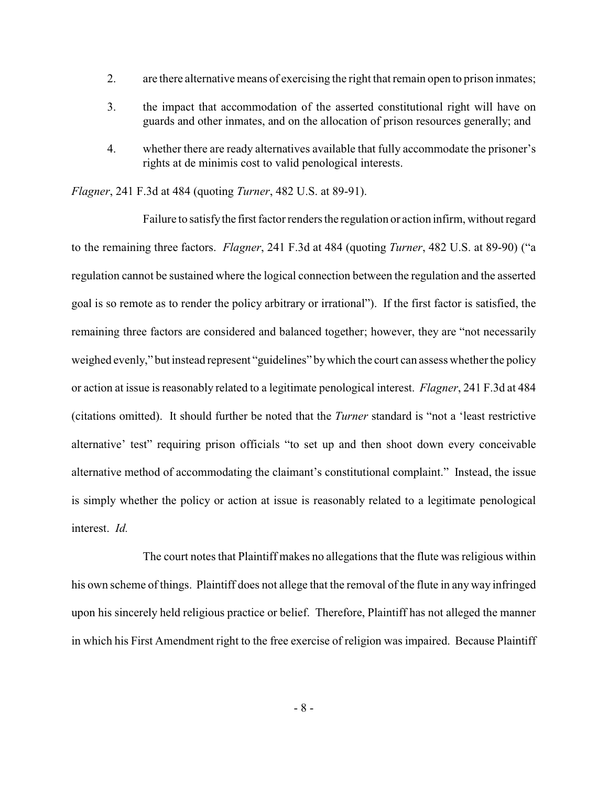- 2. are there alternative means of exercising the right that remain open to prison inmates;
- 3. the impact that accommodation of the asserted constitutional right will have on guards and other inmates, and on the allocation of prison resources generally; and
- 4. whether there are ready alternatives available that fully accommodate the prisoner's rights at de minimis cost to valid penological interests.

*Flagner*, 241 F.3d at 484 (quoting *Turner*, 482 U.S. at 89-91).

Failure to satisfythe first factor renders the regulation or action infirm, without regard to the remaining three factors. *Flagner*, 241 F.3d at 484 (quoting *Turner*, 482 U.S. at 89-90) ("a regulation cannot be sustained where the logical connection between the regulation and the asserted goal is so remote as to render the policy arbitrary or irrational"). If the first factor is satisfied, the remaining three factors are considered and balanced together; however, they are "not necessarily weighed evenly," but instead represent "guidelines" by which the court can assess whether the policy or action at issue is reasonably related to a legitimate penological interest. *Flagner*, 241 F.3d at 484 (citations omitted). It should further be noted that the *Turner* standard is "not a 'least restrictive alternative' test" requiring prison officials "to set up and then shoot down every conceivable alternative method of accommodating the claimant's constitutional complaint." Instead, the issue is simply whether the policy or action at issue is reasonably related to a legitimate penological interest. *Id.*

The court notes that Plaintiff makes no allegations that the flute was religious within his own scheme of things. Plaintiff does not allege that the removal of the flute in any way infringed upon his sincerely held religious practice or belief. Therefore, Plaintiff has not alleged the manner in which his First Amendment right to the free exercise of religion was impaired. Because Plaintiff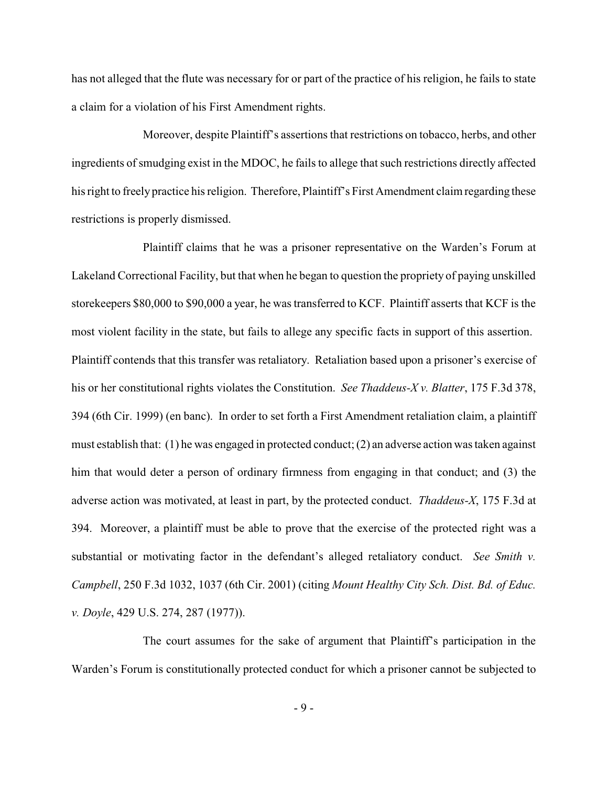has not alleged that the flute was necessary for or part of the practice of his religion, he fails to state a claim for a violation of his First Amendment rights.

Moreover, despite Plaintiff's assertions that restrictions on tobacco, herbs, and other ingredients of smudging exist in the MDOC, he fails to allege that such restrictions directly affected his right to freely practice his religion. Therefore, Plaintiff's First Amendment claim regarding these restrictions is properly dismissed.

Plaintiff claims that he was a prisoner representative on the Warden's Forum at Lakeland Correctional Facility, but that when he began to question the propriety of paying unskilled storekeepers \$80,000 to \$90,000 a year, he was transferred to KCF. Plaintiff asserts that KCF is the most violent facility in the state, but fails to allege any specific facts in support of this assertion. Plaintiff contends that this transfer was retaliatory. Retaliation based upon a prisoner's exercise of his or her constitutional rights violates the Constitution. *See Thaddeus-X v. Blatter*, 175 F.3d 378, 394 (6th Cir. 1999) (en banc). In order to set forth a First Amendment retaliation claim, a plaintiff must establish that: (1) he was engaged in protected conduct; (2) an adverse action was taken against him that would deter a person of ordinary firmness from engaging in that conduct; and (3) the adverse action was motivated, at least in part, by the protected conduct. *Thaddeus-X*, 175 F.3d at 394. Moreover, a plaintiff must be able to prove that the exercise of the protected right was a substantial or motivating factor in the defendant's alleged retaliatory conduct. *See Smith v. Campbell*, 250 F.3d 1032, 1037 (6th Cir. 2001) (citing *Mount Healthy City Sch. Dist. Bd. of Educ. v. Doyle*, 429 U.S. 274, 287 (1977)).

The court assumes for the sake of argument that Plaintiff's participation in the Warden's Forum is constitutionally protected conduct for which a prisoner cannot be subjected to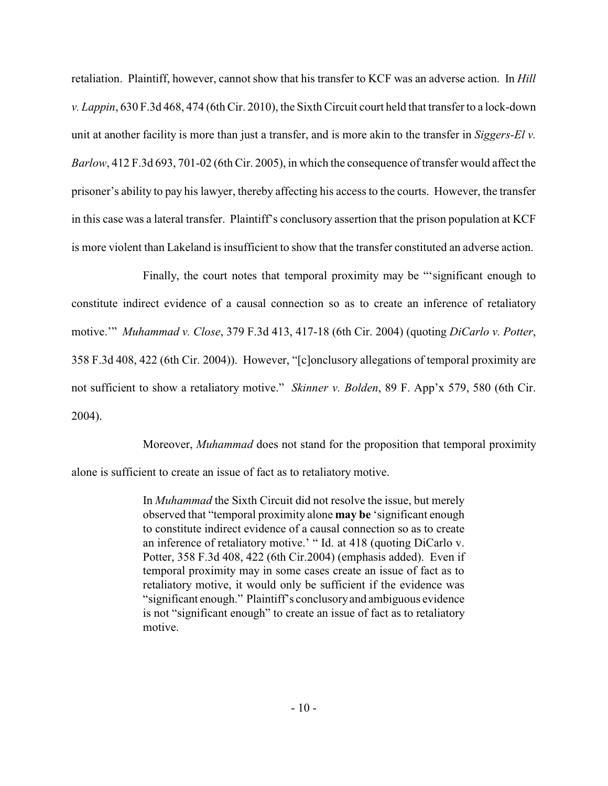retaliation. Plaintiff, however, cannot show that his transfer to KCF was an adverse action. In *Hill v. Lappin*, 630 F.3d 468, 474 (6th Cir. 2010), the Sixth Circuit court held that transfer to a lock-down unit at another facility is more than just a transfer, and is more akin to the transfer in *Siggers-El v. Barlow*, 412 F.3d 693, 701-02 (6th Cir. 2005), in which the consequence of transfer would affect the prisoner's ability to pay his lawyer, thereby affecting his access to the courts. However, the transfer in this case was a lateral transfer. Plaintiff's conclusory assertion that the prison population at KCF is more violent than Lakeland is insufficient to show that the transfer constituted an adverse action.

Finally, the court notes that temporal proximity may be "'significant enough to constitute indirect evidence of a causal connection so as to create an inference of retaliatory motive.'" *Muhammad v. Close*, 379 F.3d 413, 417-18 (6th Cir. 2004) (quoting *DiCarlo v. Potter*, 358 F.3d 408, 422 (6th Cir. 2004)). However, "[c]onclusory allegations of temporal proximity are not sufficient to show a retaliatory motive." *Skinner v. Bolden*, 89 F. App'x 579, 580 (6th Cir. 2004).

Moreover, *Muhammad* does not stand for the proposition that temporal proximity

alone is sufficient to create an issue of fact as to retaliatory motive.

In *Muhammad* the Sixth Circuit did not resolve the issue, but merely observed that "temporal proximity alone **may be** 'significant enough to constitute indirect evidence of a causal connection so as to create an inference of retaliatory motive.' " Id. at 418 (quoting DiCarlo v. Potter, 358 F.3d 408, 422 (6th Cir.2004) (emphasis added). Even if temporal proximity may in some cases create an issue of fact as to retaliatory motive, it would only be sufficient if the evidence was "significant enough." Plaintiff's conclusoryand ambiguous evidence is not "significant enough" to create an issue of fact as to retaliatory motive.